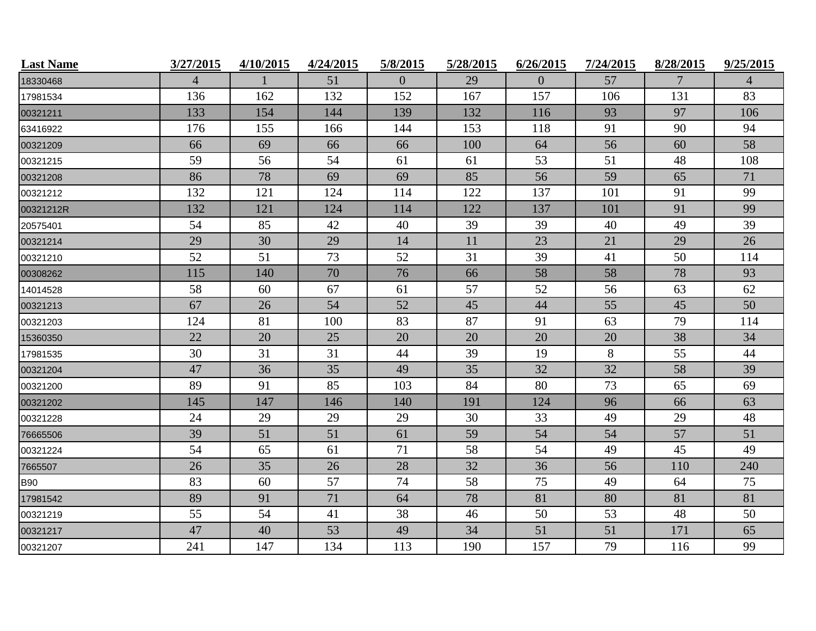| <b>Last Name</b> | 3/27/2015      | 4/10/2015 | 4/24/2015 | 5/8/2015       | 5/28/2015 | 6/26/2015 | 7/24/2015 | 8/28/2015 | 9/25/2015      |
|------------------|----------------|-----------|-----------|----------------|-----------|-----------|-----------|-----------|----------------|
| 18330468         | $\overline{4}$ |           | 51        | $\overline{0}$ | 29        | $\Omega$  | 57        | 7         | $\overline{4}$ |
| 17981534         | 136            | 162       | 132       | 152            | 167       | 157       | 106       | 131       | 83             |
| 00321211         | 133            | 154       | 144       | 139            | 132       | 116       | 93        | 97        | 106            |
| 63416922         | 176            | 155       | 166       | 144            | 153       | 118       | 91        | 90        | 94             |
| 00321209         | 66             | 69        | 66        | 66             | 100       | 64        | 56        | 60        | 58             |
| 00321215         | 59             | 56        | 54        | 61             | 61        | 53        | 51        | 48        | 108            |
| 00321208         | 86             | 78        | 69        | 69             | 85        | 56        | 59        | 65        | 71             |
| 00321212         | 132            | 121       | 124       | 114            | 122       | 137       | 101       | 91        | 99             |
| 00321212R        | 132            | 121       | 124       | 114            | 122       | 137       | 101       | 91        | 99             |
| 20575401         | 54             | 85        | 42        | 40             | 39        | 39        | 40        | 49        | 39             |
| 00321214         | 29             | 30        | 29        | 14             | 11        | 23        | 21        | 29        | 26             |
| 00321210         | 52             | 51        | 73        | 52             | 31        | 39        | 41        | 50        | 114            |
| 00308262         | 115            | 140       | 70        | 76             | 66        | 58        | 58        | 78        | 93             |
| 14014528         | 58             | 60        | 67        | 61             | 57        | 52        | 56        | 63        | 62             |
| 00321213         | 67             | 26        | 54        | 52             | 45        | 44        | 55        | 45        | 50             |
| 00321203         | 124            | 81        | 100       | 83             | 87        | 91        | 63        | 79        | 114            |
| 15360350         | 22             | 20        | 25        | 20             | 20        | 20        | 20        | 38        | 34             |
| 17981535         | 30             | 31        | 31        | 44             | 39        | 19        | 8         | 55        | 44             |
| 00321204         | 47             | 36        | 35        | 49             | 35        | 32        | 32        | 58        | 39             |
| 00321200         | 89             | 91        | 85        | 103            | 84        | 80        | 73        | 65        | 69             |
| 00321202         | 145            | 147       | 146       | 140            | 191       | 124       | 96        | 66        | 63             |
| 00321228         | 24             | 29        | 29        | 29             | 30        | 33        | 49        | 29        | 48             |
| 76665506         | 39             | 51        | 51        | 61             | 59        | 54        | 54        | 57        | 51             |
| 00321224         | 54             | 65        | 61        | 71             | 58        | 54        | 49        | 45        | 49             |
| 7665507          | 26             | 35        | 26        | 28             | 32        | 36        | 56        | 110       | 240            |
| <b>B90</b>       | 83             | 60        | 57        | 74             | 58        | 75        | 49        | 64        | 75             |
| 17981542         | 89             | 91        | 71        | 64             | 78        | 81        | 80        | 81        | 81             |
| 00321219         | 55             | 54        | 41        | 38             | 46        | 50        | 53        | 48        | 50             |
| 00321217         | 47             | 40        | 53        | 49             | 34        | 51        | 51        | 171       | 65             |
| 00321207         | 241            | 147       | 134       | 113            | 190       | 157       | 79        | 116       | 99             |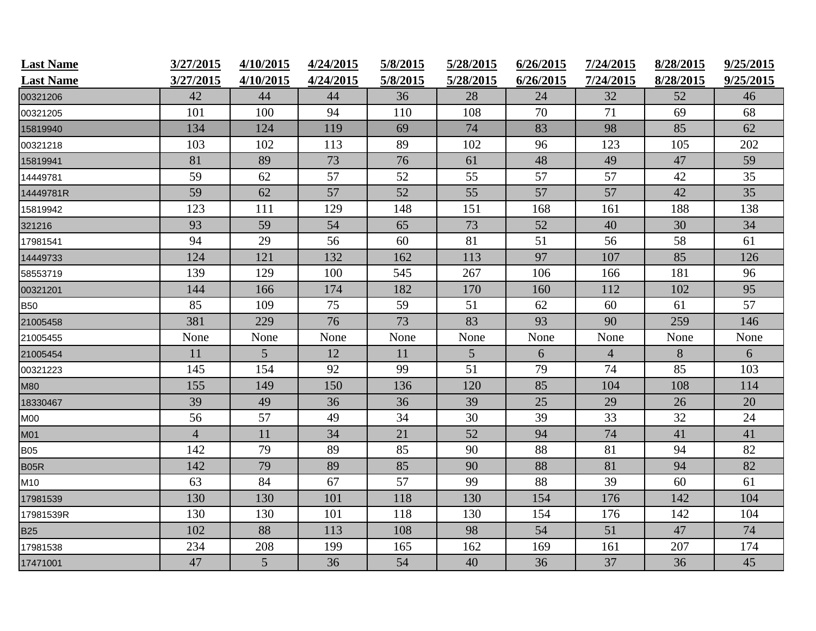| <b>Last Name</b> | 3/27/2015      | 4/10/2015      | 4/24/2015 | 5/8/2015 | 5/28/2015       | 6/26/2015 | 7/24/2015      | 8/28/2015 | 9/25/2015 |
|------------------|----------------|----------------|-----------|----------|-----------------|-----------|----------------|-----------|-----------|
| <b>Last Name</b> | 3/27/2015      | 4/10/2015      | 4/24/2015 | 5/8/2015 | 5/28/2015       | 6/26/2015 | 7/24/2015      | 8/28/2015 | 9/25/2015 |
| 00321206         | 42             | 44             | 44        | 36       | 28              | 24        | 32             | 52        | 46        |
| 00321205         | 101            | 100            | 94        | 110      | 108             | 70        | 71             | 69        | 68        |
| 15819940         | 134            | 124            | 119       | 69       | 74              | 83        | 98             | 85        | 62        |
| 00321218         | 103            | 102            | 113       | 89       | 102             | 96        | 123            | 105       | 202       |
| 15819941         | 81             | 89             | 73        | 76       | 61              | 48        | 49             | 47        | 59        |
| 14449781         | 59             | 62             | 57        | 52       | 55              | 57        | 57             | 42        | 35        |
| 14449781R        | 59             | 62             | 57        | 52       | 55              | 57        | 57             | 42        | 35        |
| 15819942         | 123            | 111            | 129       | 148      | 151             | 168       | 161            | 188       | 138       |
| 321216           | 93             | 59             | 54        | 65       | 73              | 52        | 40             | 30        | 34        |
| 17981541         | 94             | 29             | 56        | 60       | 81              | 51        | 56             | 58        | 61        |
| 14449733         | 124            | 121            | 132       | 162      | 113             | 97        | 107            | 85        | 126       |
| 58553719         | 139            | 129            | 100       | 545      | 267             | 106       | 166            | 181       | 96        |
| 00321201         | 144            | 166            | 174       | 182      | 170             | 160       | 112            | 102       | 95        |
| <b>B50</b>       | 85             | 109            | 75        | 59       | 51              | 62        | 60             | 61        | 57        |
| 21005458         | 381            | 229            | 76        | 73       | 83              | 93        | 90             | 259       | 146       |
| 21005455         | None           | None           | None      | None     | None            | None      | None           | None      | None      |
| 21005454         | 11             | $\overline{5}$ | 12        | 11       | $5\overline{)}$ | 6         | $\overline{4}$ | 8         | 6         |
| 00321223         | 145            | 154            | 92        | 99       | 51              | 79        | 74             | 85        | 103       |
| <b>M80</b>       | 155            | 149            | 150       | 136      | 120             | 85        | 104            | 108       | 114       |
| 18330467         | 39             | 49             | 36        | 36       | 39              | 25        | 29             | 26        | 20        |
| M00              | 56             | 57             | 49        | 34       | 30              | 39        | 33             | 32        | 24        |
| M01              | $\overline{4}$ | 11             | 34        | 21       | 52              | 94        | 74             | 41        | 41        |
| <b>B05</b>       | 142            | 79             | 89        | 85       | 90              | 88        | 81             | 94        | 82        |
| <b>B05R</b>      | 142            | 79             | 89        | 85       | 90              | 88        | 81             | 94        | 82        |
| M10              | 63             | 84             | 67        | 57       | 99              | 88        | 39             | 60        | 61        |
| 17981539         | 130            | 130            | 101       | 118      | 130             | 154       | 176            | 142       | 104       |
| 17981539R        | 130            | 130            | 101       | 118      | 130             | 154       | 176            | 142       | 104       |
| <b>B25</b>       | 102            | 88             | 113       | 108      | 98              | 54        | 51             | 47        | 74        |
| 17981538         | 234            | 208            | 199       | 165      | 162             | 169       | 161            | 207       | 174       |
| 17471001         | 47             | 5 <sup>5</sup> | 36        | 54       | 40              | 36        | 37             | 36        | 45        |